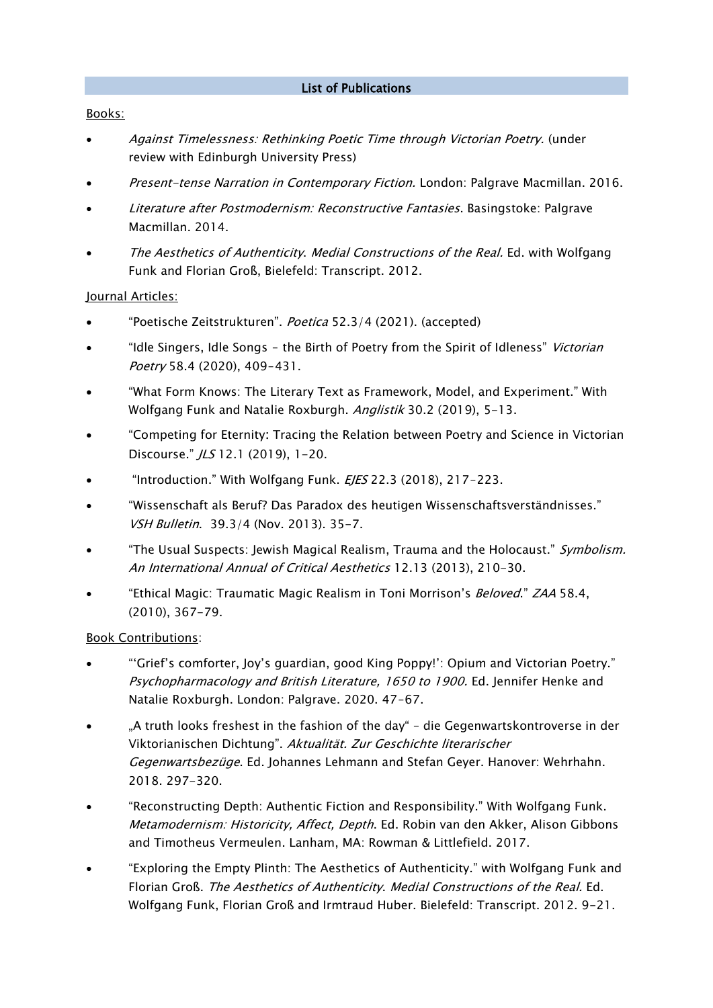#### List of Publications

#### Books:

- Against Timelessness: Rethinking Poetic Time through Victorian Poetry. (under review with Edinburgh University Press)
- Present-tense Narration in Contemporary Fiction. London: Palgrave Macmillan. 2016.
- Literature after Postmodernism: Reconstructive Fantasies. Basingstoke: Palgrave Macmillan. 2014.
- The Aesthetics of Authenticity. Medial Constructions of the Real. Ed. with Wolfgang Funk and Florian Groß, Bielefeld: Transcript. 2012.

#### Journal Articles:

- "Poetische Zeitstrukturen". Poetica 52.3/4 (2021). (accepted)
- "Idle Singers, Idle Songs the Birth of Poetry from the Spirit of Idleness" Victorian Poetry 58.4 (2020), 409-431.
- "What Form Knows: The Literary Text as Framework, Model, and Experiment." With Wolfgang Funk and Natalie Roxburgh. Anglistik 30.2 (2019), 5-13.
- "Competing for Eternity: Tracing the Relation between Poetry and Science in Victorian Discourse." /LS 12.1 (2019), 1-20.
- "Introduction." With Wolfgang Funk. EJES 22.3 (2018), 217-223.
- "Wissenschaft als Beruf? Das Paradox des heutigen Wissenschaftsverständnisses." VSH Bulletin. 39.3/4 (Nov. 2013). 35-7.
- "The Usual Suspects: Jewish Magical Realism, Trauma and the Holocaust." Symbolism. An International Annual of Critical Aesthetics 12.13 (2013), 210-30.
- "Ethical Magic: Traumatic Magic Realism in Toni Morrison's Beloved." ZAA 58.4, (2010), 367-79.

#### Book Contributions:

- "'Grief's comforter, Joy's guardian, good King Poppy!': Opium and Victorian Poetry." Psychopharmacology and British Literature, 1650 to 1900. Ed. Jennifer Henke and Natalie Roxburgh. London: Palgrave. 2020. 47-67.
- "A truth looks freshest in the fashion of the day" die Gegenwartskontroverse in der Viktorianischen Dichtung". Aktualität. Zur Geschichte literarischer Gegenwartsbezüge. Ed. Johannes Lehmann and Stefan Geyer. Hanover: Wehrhahn. 2018. 297-320.
- "Reconstructing Depth: Authentic Fiction and Responsibility." With Wolfgang Funk. Metamodernism: Historicity, Affect, Depth. Ed. Robin van den Akker, Alison Gibbons and Timotheus Vermeulen. Lanham, MA: Rowman & Littlefield. 2017.
- "Exploring the Empty Plinth: The Aesthetics of Authenticity." with Wolfgang Funk and Florian Groß. The Aesthetics of Authenticity. Medial Constructions of the Real. Ed. Wolfgang Funk, Florian Groß and Irmtraud Huber. Bielefeld: Transcript. 2012. 9-21.